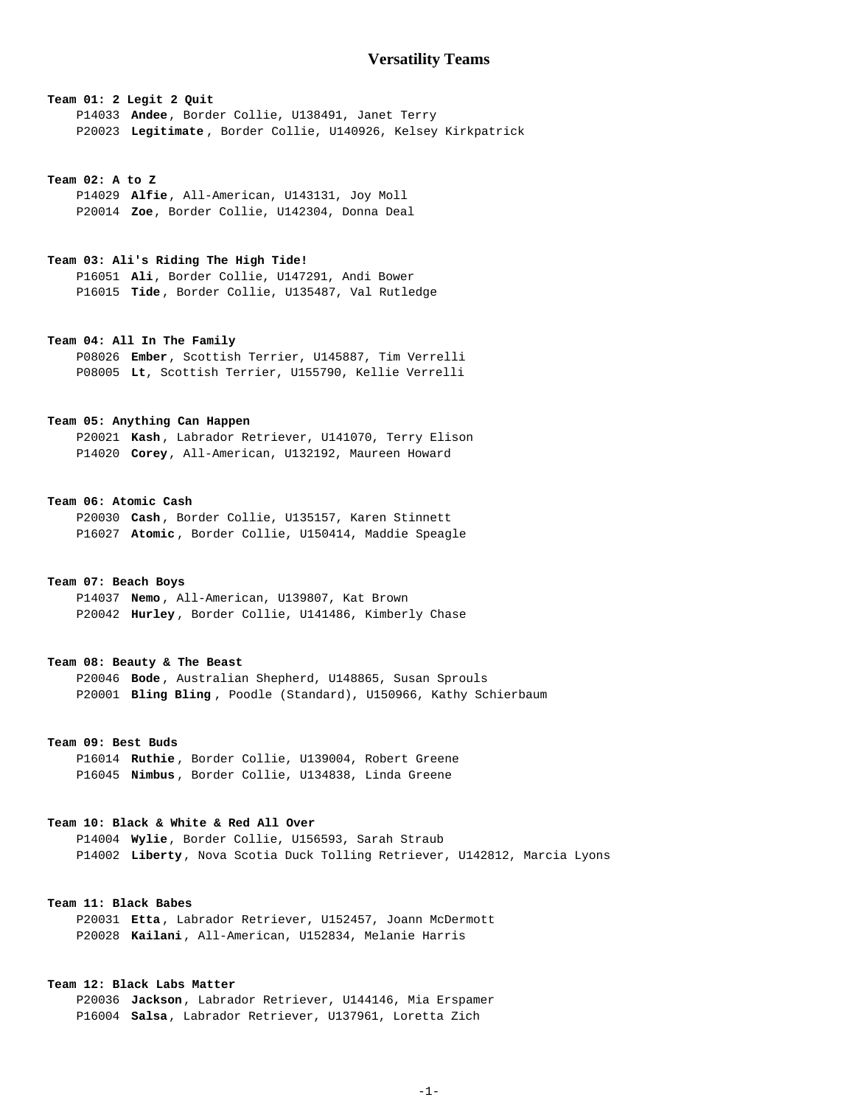# **Team 01: 2 Legit 2 Quit** P14033 **Andee**, Border Collie, U138491, Janet Terry P20023 **Legitimate** , Border Collie, U140926, Kelsey Kirkpatrick

#### **Team 02: A to Z**

 P14029 **Alfie**, All-American, U143131, Joy Moll P20014 **Zoe**, Border Collie, U142304, Donna Deal

## **Team 03: Ali's Riding The High Tide!**

 P16051 **Ali**, Border Collie, U147291, Andi Bower P16015 **Tide** , Border Collie, U135487, Val Rutledge

# **Team 04: All In The Family**

 P08026 **Ember**, Scottish Terrier, U145887, Tim Verrelli P08005 **Lt**, Scottish Terrier, U155790, Kellie Verrelli

## **Team 05: Anything Can Happen**

 P20021 **Kash** , Labrador Retriever, U141070, Terry Elison P14020 **Corey**, All-American, U132192, Maureen Howard

### **Team 06: Atomic Cash**

 P20030 **Cash** , Border Collie, U135157, Karen Stinnett P16027 **Atomic** , Border Collie, U150414, Maddie Speagle

## **Team 07: Beach Boys**

 P14037 **Nemo** , All-American, U139807, Kat Brown P20042 **Hurley** , Border Collie, U141486, Kimberly Chase

### **Team 08: Beauty & The Beast**

 P20046 **Bode** , Australian Shepherd, U148865, Susan Sprouls P20001 **Bling Bling** , Poodle (Standard), U150966, Kathy Schierbaum

## **Team 09: Best Buds**

 P16014 **Ruthie** , Border Collie, U139004, Robert Greene P16045 **Nimbus** , Border Collie, U134838, Linda Greene

## **Team 10: Black & White & Red All Over**

 P14004 **Wylie**, Border Collie, U156593, Sarah Straub P14002 **Liberty**, Nova Scotia Duck Tolling Retriever, U142812, Marcia Lyons

## **Team 11: Black Babes**

 P20031 **Etta** , Labrador Retriever, U152457, Joann McDermott P20028 **Kailani**, All-American, U152834, Melanie Harris

## **Team 12: Black Labs Matter**

 P20036 **Jackson**, Labrador Retriever, U144146, Mia Erspamer P16004 **Salsa**, Labrador Retriever, U137961, Loretta Zich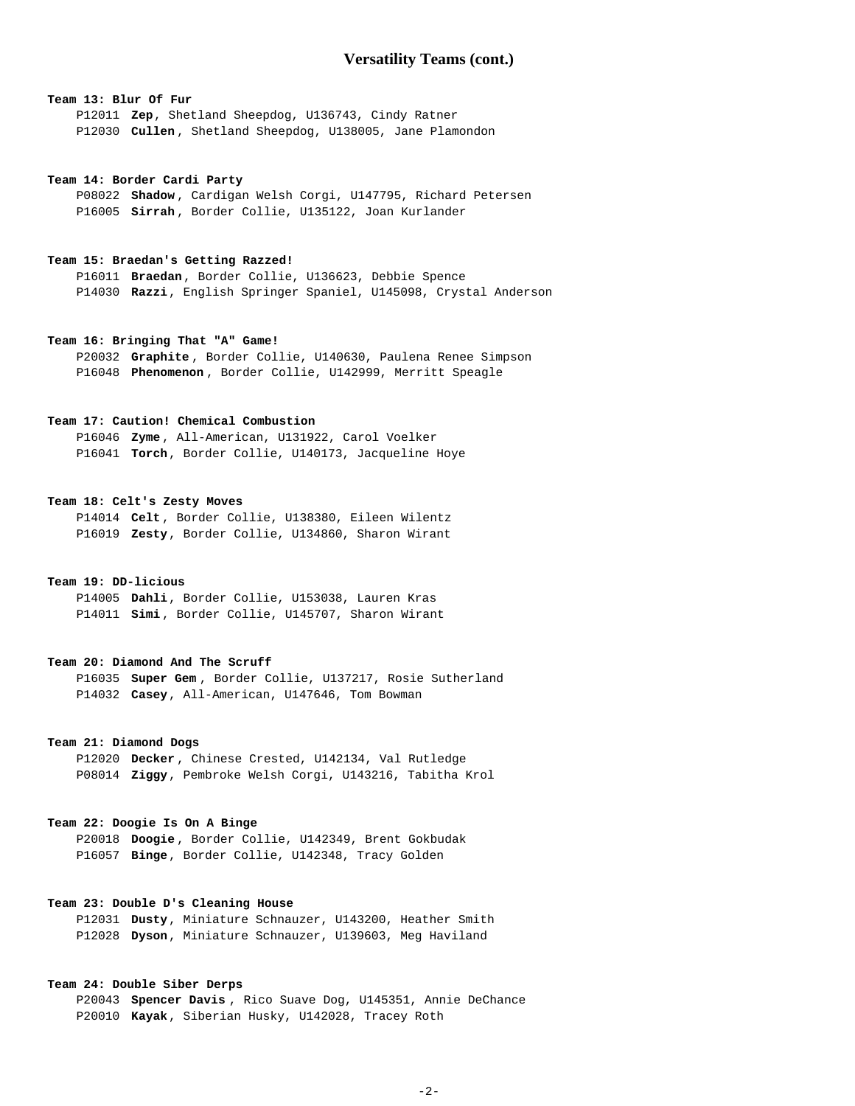# **Versatility Teams (cont.)**

## **Team 13: Blur Of Fur**

 P12011 **Zep**, Shetland Sheepdog, U136743, Cindy Ratner P12030 **Cullen** , Shetland Sheepdog, U138005, Jane Plamondon

#### **Team 14: Border Cardi Party**

 P08022 **Shadow** , Cardigan Welsh Corgi, U147795, Richard Petersen P16005 **Sirrah** , Border Collie, U135122, Joan Kurlander

#### **Team 15: Braedan's Getting Razzed!**

 P16011 **Braedan**, Border Collie, U136623, Debbie Spence P14030 **Razzi**, English Springer Spaniel, U145098, Crystal Anderson

## **Team 16: Bringing That "A" Game!**

 P20032 **Graphite** , Border Collie, U140630, Paulena Renee Simpson P16048 **Phenomenon** , Border Collie, U142999, Merritt Speagle

## **Team 17: Caution! Chemical Combustion**

 P16046 **Zyme** , All-American, U131922, Carol Voelker P16041 **Torch**, Border Collie, U140173, Jacqueline Hoye

#### **Team 18: Celt's Zesty Moves**

 P14014 **Celt** , Border Collie, U138380, Eileen Wilentz P16019 **Zesty**, Border Collie, U134860, Sharon Wirant

## **Team 19: DD-licious**

 P14005 **Dahli**, Border Collie, U153038, Lauren Kras P14011 **Simi** , Border Collie, U145707, Sharon Wirant

## **Team 20: Diamond And The Scruff**

 P16035 **Super Gem** , Border Collie, U137217, Rosie Sutherland P14032 **Casey**, All-American, U147646, Tom Bowman

### **Team 21: Diamond Dogs**

 P12020 **Decker** , Chinese Crested, U142134, Val Rutledge P08014 **Ziggy**, Pembroke Welsh Corgi, U143216, Tabitha Krol

### **Team 22: Doogie Is On A Binge**

 P20018 **Doogie** , Border Collie, U142349, Brent Gokbudak P16057 **Binge**, Border Collie, U142348, Tracy Golden

## **Team 23: Double D's Cleaning House**

 P12031 **Dusty**, Miniature Schnauzer, U143200, Heather Smith P12028 **Dyson**, Miniature Schnauzer, U139603, Meg Haviland

## **Team 24: Double Siber Derps**

 P20043 **Spencer Davis** , Rico Suave Dog, U145351, Annie DeChance P20010 **Kayak**, Siberian Husky, U142028, Tracey Roth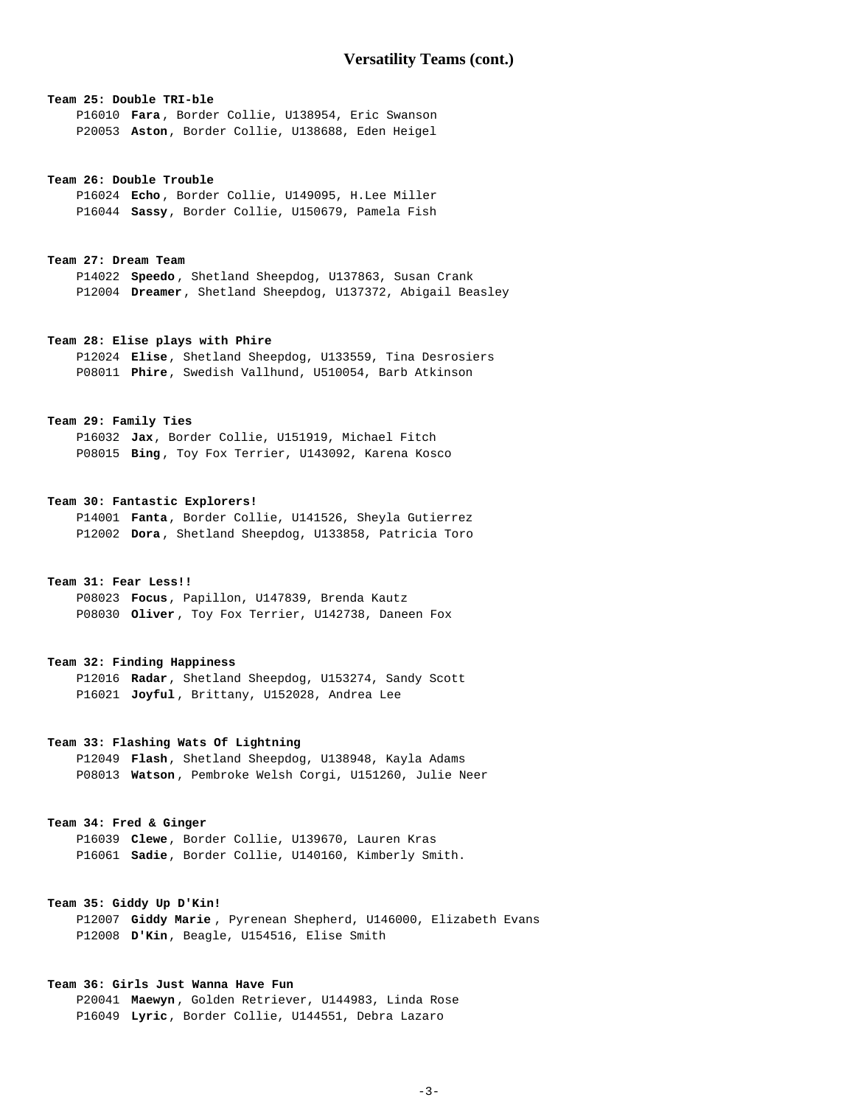## **Team 25: Double TRI-ble**

 P16010 **Fara** , Border Collie, U138954, Eric Swanson P20053 **Aston**, Border Collie, U138688, Eden Heigel

#### **Team 26: Double Trouble**

 P16024 **Echo** , Border Collie, U149095, H.Lee Miller P16044 **Sassy**, Border Collie, U150679, Pamela Fish

#### **Team 27: Dream Team**

 P14022 **Speedo** , Shetland Sheepdog, U137863, Susan Crank P12004 **Dreamer**, Shetland Sheepdog, U137372, Abigail Beasley

## **Team 28: Elise plays with Phire**

 P12024 **Elise**, Shetland Sheepdog, U133559, Tina Desrosiers P08011 **Phire**, Swedish Vallhund, U510054, Barb Atkinson

## **Team 29: Family Ties**

 P16032 **Jax**, Border Collie, U151919, Michael Fitch P08015 **Bing** , Toy Fox Terrier, U143092, Karena Kosco

### **Team 30: Fantastic Explorers!**

 P14001 **Fanta**, Border Collie, U141526, Sheyla Gutierrez P12002 **Dora** , Shetland Sheepdog, U133858, Patricia Toro

### **Team 31: Fear Less!!**

 P08023 **Focus**, Papillon, U147839, Brenda Kautz P08030 **Oliver** , Toy Fox Terrier, U142738, Daneen Fox

### **Team 32: Finding Happiness**

 P12016 **Radar**, Shetland Sheepdog, U153274, Sandy Scott P16021 **Joyful** , Brittany, U152028, Andrea Lee

## **Team 33: Flashing Wats Of Lightning**

 P12049 **Flash**, Shetland Sheepdog, U138948, Kayla Adams P08013 **Watson** , Pembroke Welsh Corgi, U151260, Julie Neer

### **Team 34: Fred & Ginger**

 P16039 **Clewe**, Border Collie, U139670, Lauren Kras P16061 **Sadie**, Border Collie, U140160, Kimberly Smith.

## **Team 35: Giddy Up D'Kin!**

 P12007 **Giddy Marie** , Pyrenean Shepherd, U146000, Elizabeth Evans P12008 **D'Kin**, Beagle, U154516, Elise Smith

## **Team 36: Girls Just Wanna Have Fun**

 P20041 **Maewyn** , Golden Retriever, U144983, Linda Rose P16049 **Lyric**, Border Collie, U144551, Debra Lazaro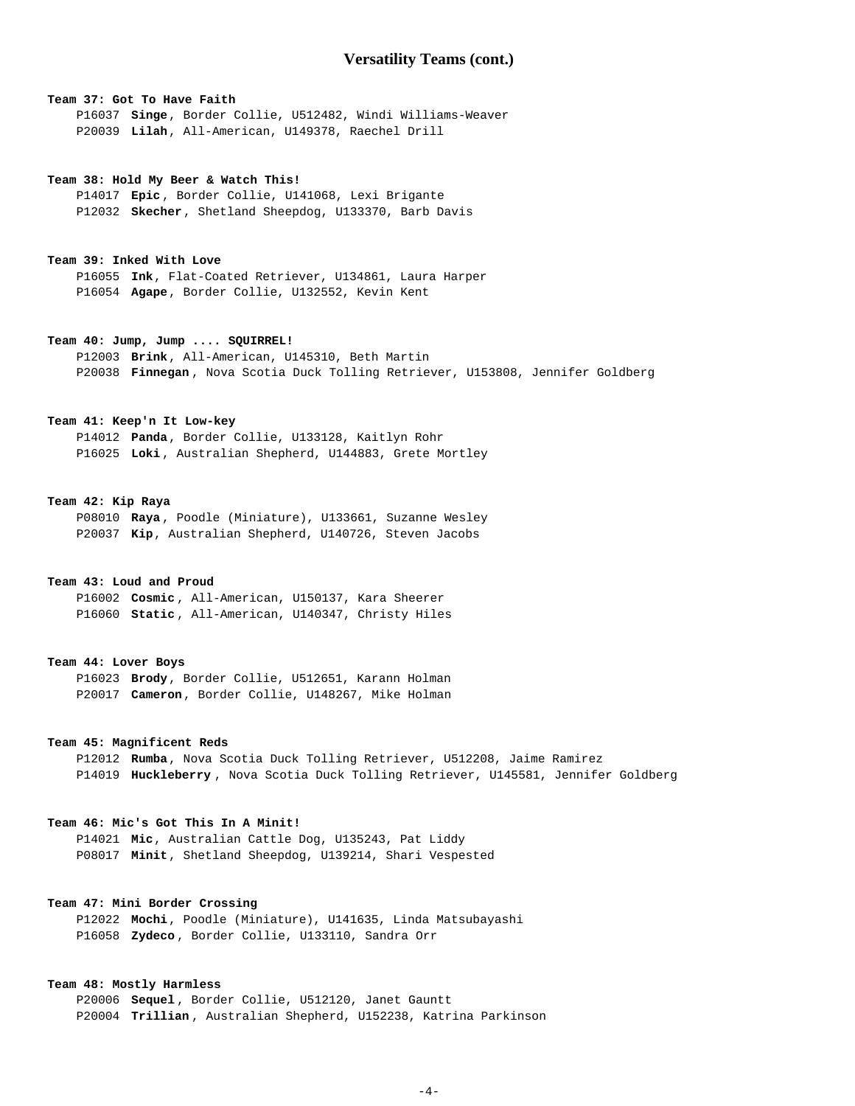# **Versatility Teams (cont.)**

## **Team 37: Got To Have Faith**

 P16037 **Singe**, Border Collie, U512482, Windi Williams-Weaver P20039 **Lilah**, All-American, U149378, Raechel Drill

#### **Team 38: Hold My Beer & Watch This!**

 P14017 **Epic** , Border Collie, U141068, Lexi Brigante P12032 **Skecher**, Shetland Sheepdog, U133370, Barb Davis

### **Team 39: Inked With Love**

 P16055 **Ink**, Flat-Coated Retriever, U134861, Laura Harper P16054 **Agape**, Border Collie, U132552, Kevin Kent

#### **Team 40: Jump, Jump .... SQUIRREL!**

 P12003 **Brink**, All-American, U145310, Beth Martin P20038 **Finnegan** , Nova Scotia Duck Tolling Retriever, U153808, Jennifer Goldberg

# **Team 41: Keep'n It Low-key**

 P14012 **Panda**, Border Collie, U133128, Kaitlyn Rohr P16025 **Loki** , Australian Shepherd, U144883, Grete Mortley

#### **Team 42: Kip Raya**

 P08010 **Raya** , Poodle (Miniature), U133661, Suzanne Wesley P20037 **Kip**, Australian Shepherd, U140726, Steven Jacobs

## **Team 43: Loud and Proud**

 P16002 **Cosmic** , All-American, U150137, Kara Sheerer P16060 **Static** , All-American, U140347, Christy Hiles

#### **Team 44: Lover Boys**

 P16023 **Brody**, Border Collie, U512651, Karann Holman P20017 **Cameron**, Border Collie, U148267, Mike Holman

## **Team 45: Magnificent Reds**

 P12012 **Rumba**, Nova Scotia Duck Tolling Retriever, U512208, Jaime Ramirez P14019 **Huckleberry** , Nova Scotia Duck Tolling Retriever, U145581, Jennifer Goldberg

## **Team 46: Mic's Got This In A Minit!**

 P14021 **Mic**, Australian Cattle Dog, U135243, Pat Liddy P08017 **Minit**, Shetland Sheepdog, U139214, Shari Vespested

## **Team 47: Mini Border Crossing**

 P12022 **Mochi**, Poodle (Miniature), U141635, Linda Matsubayashi P16058 **Zydeco** , Border Collie, U133110, Sandra Orr

## **Team 48: Mostly Harmless**

 P20006 **Sequel** , Border Collie, U512120, Janet Gauntt P20004 **Trillian** , Australian Shepherd, U152238, Katrina Parkinson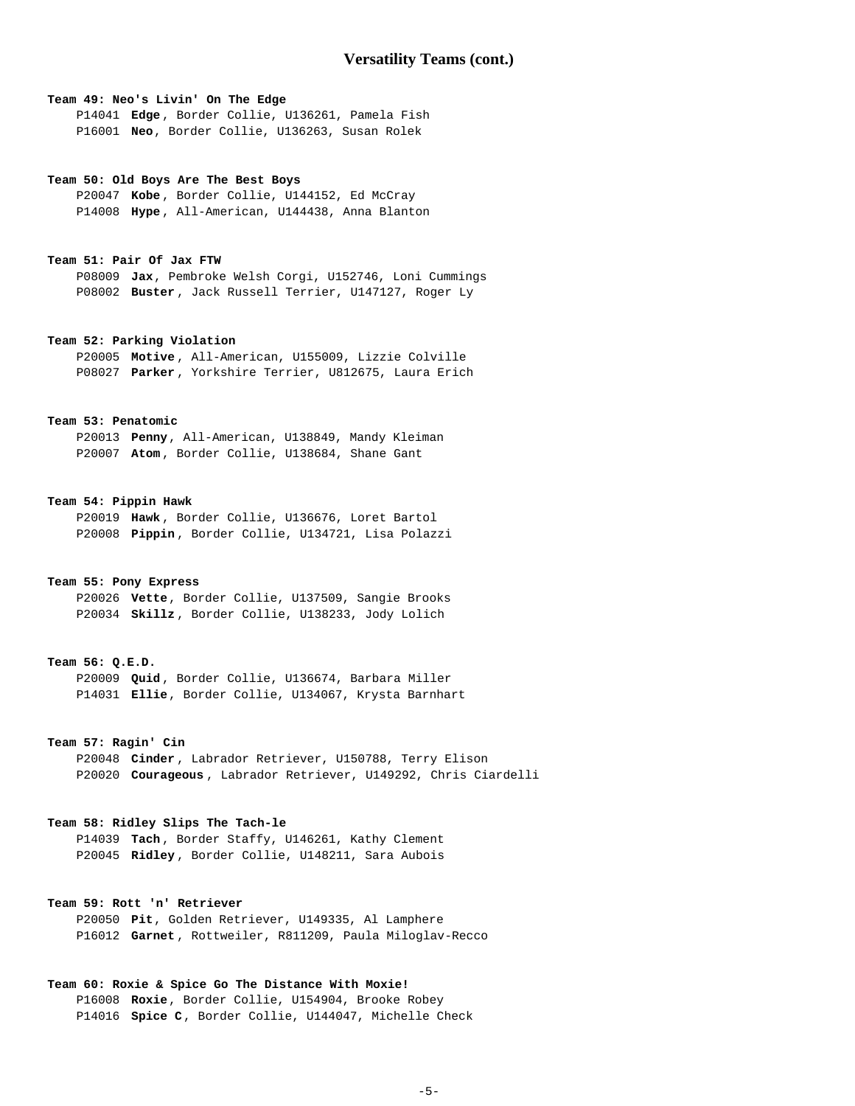### **Team 49: Neo's Livin' On The Edge**

 P14041 **Edge** , Border Collie, U136261, Pamela Fish P16001 **Neo**, Border Collie, U136263, Susan Rolek

#### **Team 50: Old Boys Are The Best Boys**

 P20047 **Kobe** , Border Collie, U144152, Ed McCray P14008 **Hype** , All-American, U144438, Anna Blanton

### **Team 51: Pair Of Jax FTW**

 P08009 **Jax**, Pembroke Welsh Corgi, U152746, Loni Cummings P08002 **Buster** , Jack Russell Terrier, U147127, Roger Ly

# **Team 52: Parking Violation**

 P20005 **Motive** , All-American, U155009, Lizzie Colville P08027 **Parker** , Yorkshire Terrier, U812675, Laura Erich

### **Team 53: Penatomic**

 P20013 **Penny**, All-American, U138849, Mandy Kleiman P20007 **Atom** , Border Collie, U138684, Shane Gant

### **Team 54: Pippin Hawk**

 P20019 **Hawk** , Border Collie, U136676, Loret Bartol P20008 **Pippin** , Border Collie, U134721, Lisa Polazzi

## **Team 55: Pony Express**

 P20026 **Vette**, Border Collie, U137509, Sangie Brooks P20034 **Skillz** , Border Collie, U138233, Jody Lolich

#### **Team 56: Q.E.D.**

 P20009 **Quid** , Border Collie, U136674, Barbara Miller P14031 **Ellie**, Border Collie, U134067, Krysta Barnhart

## **Team 57: Ragin' Cin**

 P20048 **Cinder** , Labrador Retriever, U150788, Terry Elison P20020 **Courageous** , Labrador Retriever, U149292, Chris Ciardelli

## **Team 58: Ridley Slips The Tach-le**

 P14039 **Tach** , Border Staffy, U146261, Kathy Clement P20045 **Ridley** , Border Collie, U148211, Sara Aubois

## **Team 59: Rott 'n' Retriever**

 P20050 **Pit**, Golden Retriever, U149335, Al Lamphere P16012 **Garnet** , Rottweiler, R811209, Paula Miloglav-Recco

## **Team 60: Roxie & Spice Go The Distance With Moxie!**

 P16008 **Roxie**, Border Collie, U154904, Brooke Robey P14016 **Spice C**, Border Collie, U144047, Michelle Check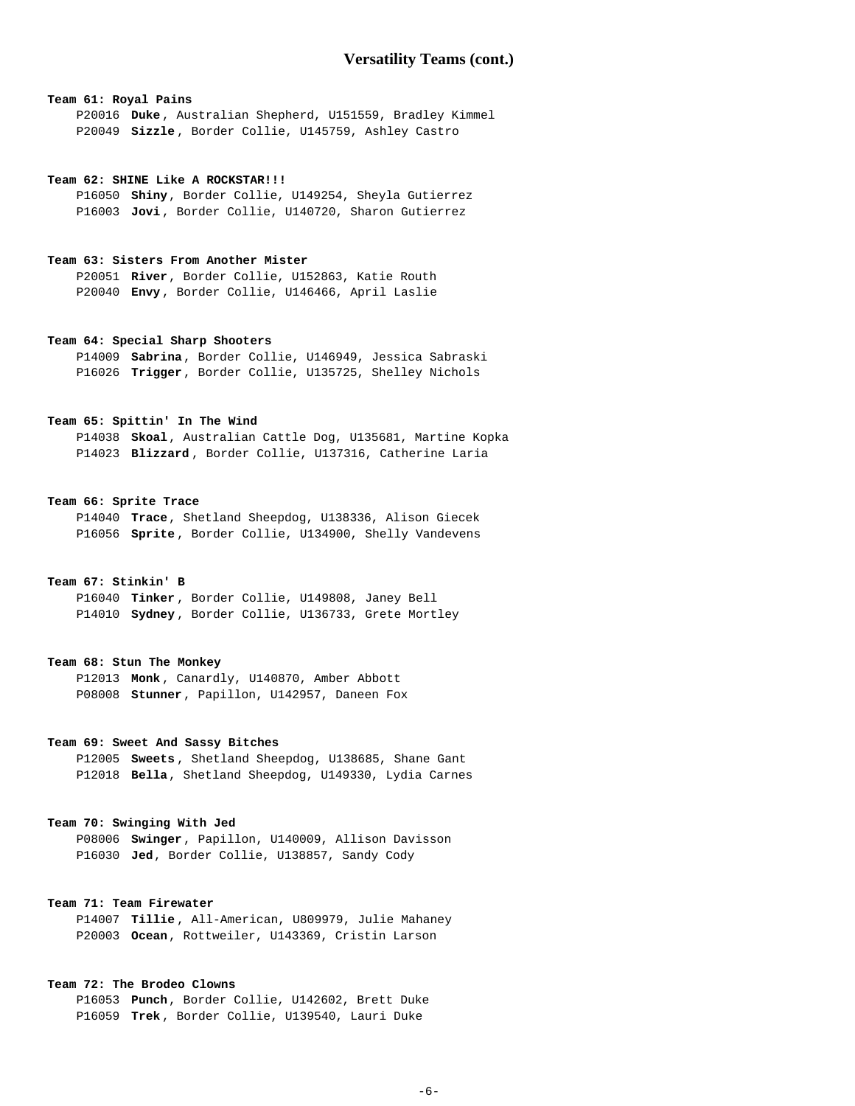## **Team 61: Royal Pains**

 P20016 **Duke** , Australian Shepherd, U151559, Bradley Kimmel P20049 **Sizzle** , Border Collie, U145759, Ashley Castro

#### **Team 62: SHINE Like A ROCKSTAR!!!**

 P16050 **Shiny**, Border Collie, U149254, Sheyla Gutierrez P16003 **Jovi** , Border Collie, U140720, Sharon Gutierrez

#### **Team 63: Sisters From Another Mister**

 P20051 **River**, Border Collie, U152863, Katie Routh P20040 **Envy** , Border Collie, U146466, April Laslie

## **Team 64: Special Sharp Shooters**

 P14009 **Sabrina**, Border Collie, U146949, Jessica Sabraski P16026 **Trigger**, Border Collie, U135725, Shelley Nichols

## **Team 65: Spittin' In The Wind**

 P14038 **Skoal**, Australian Cattle Dog, U135681, Martine Kopka P14023 **Blizzard** , Border Collie, U137316, Catherine Laria

### **Team 66: Sprite Trace**

 P14040 **Trace**, Shetland Sheepdog, U138336, Alison Giecek P16056 **Sprite** , Border Collie, U134900, Shelly Vandevens

## **Team 67: Stinkin' B**

 P16040 **Tinker** , Border Collie, U149808, Janey Bell P14010 **Sydney** , Border Collie, U136733, Grete Mortley

#### **Team 68: Stun The Monkey**

 P12013 **Monk** , Canardly, U140870, Amber Abbott P08008 **Stunner**, Papillon, U142957, Daneen Fox

## **Team 69: Sweet And Sassy Bitches**

 P12005 **Sweets** , Shetland Sheepdog, U138685, Shane Gant P12018 **Bella**, Shetland Sheepdog, U149330, Lydia Carnes

# **Team 70: Swinging With Jed**

 P08006 **Swinger**, Papillon, U140009, Allison Davisson P16030 **Jed**, Border Collie, U138857, Sandy Cody

## **Team 71: Team Firewater**

 P14007 **Tillie** , All-American, U809979, Julie Mahaney P20003 **Ocean**, Rottweiler, U143369, Cristin Larson

## **Team 72: The Brodeo Clowns**

 P16053 **Punch**, Border Collie, U142602, Brett Duke P16059 **Trek** , Border Collie, U139540, Lauri Duke